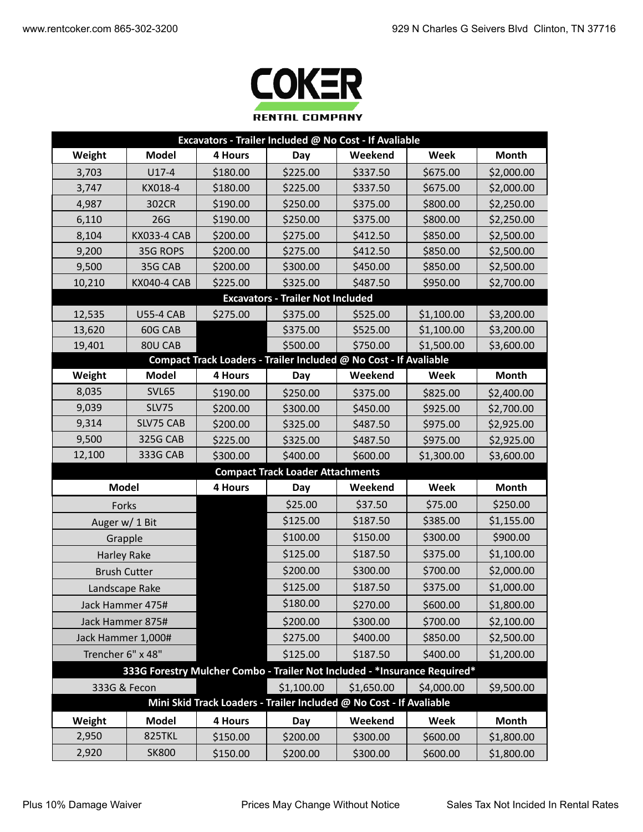

| Excavators - Trailer Included @ No Cost - If Avaliable |                                                                            |          |                                          |                                                                   |            |              |  |
|--------------------------------------------------------|----------------------------------------------------------------------------|----------|------------------------------------------|-------------------------------------------------------------------|------------|--------------|--|
| Weight                                                 | <b>Model</b>                                                               | 4 Hours  | Day                                      | Weekend                                                           | Week       | Month        |  |
| 3,703                                                  | $U17-4$                                                                    | \$180.00 | \$225.00                                 | \$337.50                                                          | \$675.00   | \$2,000.00   |  |
| 3,747                                                  | KX018-4                                                                    | \$180.00 | \$225.00                                 | \$337.50                                                          | \$675.00   | \$2,000.00   |  |
| 4,987                                                  | 302CR                                                                      | \$190.00 | \$250.00                                 | \$375.00                                                          | \$800.00   | \$2,250.00   |  |
| 6,110                                                  | 26G                                                                        | \$190.00 | \$250.00                                 | \$375.00                                                          | \$800.00   | \$2,250.00   |  |
| 8,104                                                  | <b>KX033-4 CAB</b>                                                         | \$200.00 | \$275.00                                 | \$412.50                                                          | \$850.00   | \$2,500.00   |  |
| 9,200                                                  | 35G ROPS                                                                   | \$200.00 | \$275.00                                 | \$412.50                                                          | \$850.00   | \$2,500.00   |  |
| 9,500                                                  | 35G CAB                                                                    | \$200.00 | \$300.00                                 | \$450.00                                                          | \$850.00   | \$2,500.00   |  |
| 10,210                                                 | <b>KX040-4 CAB</b>                                                         | \$225.00 | \$325.00                                 | \$487.50                                                          | \$950.00   | \$2,700.00   |  |
|                                                        |                                                                            |          | <b>Excavators - Trailer Not Included</b> |                                                                   |            |              |  |
| 12,535                                                 | <b>U55-4 CAB</b>                                                           | \$275.00 | \$375.00                                 | \$525.00                                                          | \$1,100.00 | \$3,200.00   |  |
| 13,620                                                 | 60G CAB                                                                    |          | \$375.00                                 | \$525.00                                                          | \$1,100.00 | \$3,200.00   |  |
| 19,401                                                 | 80U CAB                                                                    |          | \$500.00                                 | \$750.00                                                          | \$1,500.00 | \$3,600.00   |  |
|                                                        |                                                                            |          |                                          | Compact Track Loaders - Trailer Included @ No Cost - If Avaliable |            |              |  |
| Weight                                                 | <b>Model</b>                                                               | 4 Hours  | Day                                      | Weekend                                                           | Week       | <b>Month</b> |  |
| 8,035                                                  | <b>SVL65</b>                                                               | \$190.00 | \$250.00                                 | \$375.00                                                          | \$825.00   | \$2,400.00   |  |
| 9,039                                                  | <b>SLV75</b>                                                               | \$200.00 | \$300.00                                 | \$450.00                                                          | \$925.00   | \$2,700.00   |  |
| 9,314                                                  | SLV75 CAB                                                                  | \$200.00 | \$325.00                                 | \$487.50                                                          | \$975.00   | \$2,925.00   |  |
| 9,500                                                  | 325G CAB                                                                   | \$225.00 | \$325.00                                 | \$487.50                                                          | \$975.00   | \$2,925.00   |  |
| 12,100                                                 | 333G CAB                                                                   | \$300.00 | \$400.00                                 | \$600.00                                                          | \$1,300.00 | \$3,600.00   |  |
| <b>Compact Track Loader Attachments</b>                |                                                                            |          |                                          |                                                                   |            |              |  |
| <b>Model</b>                                           |                                                                            | 4 Hours  | Day                                      | Weekend                                                           | Week       | Month        |  |
| Forks                                                  |                                                                            |          | \$25.00                                  | \$37.50                                                           | \$75.00    | \$250.00     |  |
| Auger w/ 1 Bit                                         |                                                                            |          | \$125.00                                 | \$187.50                                                          | \$385.00   | \$1,155.00   |  |
| Grapple                                                |                                                                            |          | \$100.00                                 | \$150.00                                                          | \$300.00   | \$900.00     |  |
| <b>Harley Rake</b>                                     |                                                                            |          | \$125.00                                 | \$187.50                                                          | \$375.00   | \$1,100.00   |  |
| <b>Brush Cutter</b>                                    |                                                                            |          | \$200.00                                 | \$300.00                                                          | \$700.00   | \$2,000.00   |  |
| Landscape Rake                                         |                                                                            |          | \$125.00                                 | \$187.50                                                          | \$375.00   | \$1,000.00   |  |
| Jack Hammer 475#                                       |                                                                            |          | \$180.00                                 | \$270.00                                                          | \$600.00   | \$1,800.00   |  |
| Jack Hammer 875#                                       |                                                                            |          | \$200.00                                 | \$300.00                                                          | \$700.00   | \$2,100.00   |  |
| Jack Hammer 1,000#                                     |                                                                            |          | \$275.00                                 | \$400.00                                                          | \$850.00   | \$2,500.00   |  |
| Trencher 6" x 48"                                      |                                                                            |          | \$125.00                                 | \$187.50                                                          | \$400.00   | \$1,200.00   |  |
|                                                        | 333G Forestry Mulcher Combo - Trailer Not Included - * Insurance Required* |          |                                          |                                                                   |            |              |  |
| 333G & Fecon                                           |                                                                            |          | \$1,100.00                               | \$1,650.00                                                        | \$4,000.00 | \$9,500.00   |  |
|                                                        | Mini Skid Track Loaders - Trailer Included @ No Cost - If Avaliable        |          |                                          |                                                                   |            |              |  |
| Weight                                                 | <b>Model</b>                                                               | 4 Hours  | Day                                      | Weekend                                                           | Week       | <b>Month</b> |  |
| 2,950                                                  | 825TKL                                                                     | \$150.00 | \$200.00                                 | \$300.00                                                          | \$600.00   | \$1,800.00   |  |
| 2,920                                                  | <b>SK800</b>                                                               | \$150.00 | \$200.00                                 | \$300.00                                                          | \$600.00   | \$1,800.00   |  |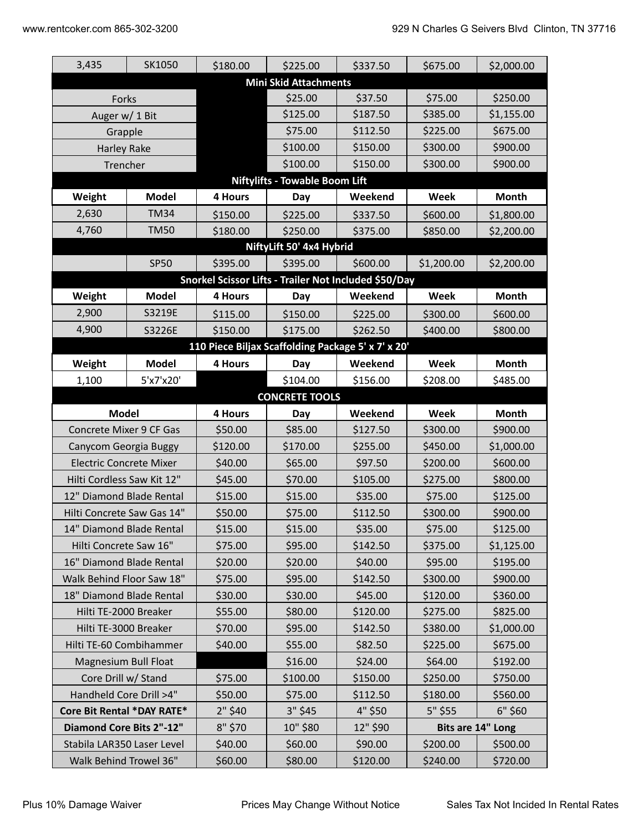| 3,435                          | SK1050                 | \$180.00                                              | \$225.00                              | \$337.50 | \$675.00   | \$2,000.00        |  |  |
|--------------------------------|------------------------|-------------------------------------------------------|---------------------------------------|----------|------------|-------------------|--|--|
| <b>Mini Skid Attachments</b>   |                        |                                                       |                                       |          |            |                   |  |  |
| Forks                          |                        |                                                       | \$25.00                               | \$37.50  | \$75.00    | \$250.00          |  |  |
| Auger w/ 1 Bit                 |                        |                                                       | \$125.00                              | \$187.50 | \$385.00   | \$1,155.00        |  |  |
| Grapple                        |                        |                                                       | \$75.00                               | \$112.50 | \$225.00   | \$675.00          |  |  |
| <b>Harley Rake</b>             |                        |                                                       | \$100.00                              | \$150.00 | \$300.00   | \$900.00          |  |  |
|                                | Trencher               |                                                       | \$100.00                              | \$150.00 | \$300.00   | \$900.00          |  |  |
|                                |                        |                                                       | <b>Niftylifts - Towable Boom Lift</b> |          |            |                   |  |  |
| Weight                         | <b>Model</b>           | 4 Hours                                               | Day                                   | Weekend  | Week       | Month             |  |  |
| 2,630                          | <b>TM34</b>            | \$150.00                                              | \$225.00                              | \$337.50 | \$600.00   | \$1,800.00        |  |  |
| 4,760                          | <b>TM50</b>            | \$180.00                                              | \$250.00                              | \$375.00 | \$850.00   | \$2,200.00        |  |  |
|                                |                        |                                                       | NiftyLift 50' 4x4 Hybrid              |          |            |                   |  |  |
|                                | <b>SP50</b>            | \$395.00                                              | \$395.00                              | \$600.00 | \$1,200.00 | \$2,200.00        |  |  |
|                                |                        | Snorkel Scissor Lifts - Trailer Not Included \$50/Day |                                       |          |            |                   |  |  |
| Weight                         | <b>Model</b>           | 4 Hours                                               | Day                                   | Weekend  | Week       | Month             |  |  |
| 2,900                          | S3219E                 | \$115.00                                              | \$150.00                              | \$225.00 | \$300.00   | \$600.00          |  |  |
| 4,900                          | S3226E                 | \$150.00                                              | \$175.00                              | \$262.50 | \$400.00   | \$800.00          |  |  |
|                                |                        | 110 Piece Biljax Scaffolding Package 5' x 7' x 20'    |                                       |          |            |                   |  |  |
| Weight                         | <b>Model</b>           | 4 Hours                                               | Day                                   | Weekend  | Week       | Month             |  |  |
| 1,100                          | 5'x7'x20'              |                                                       | \$104.00                              | \$156.00 | \$208.00   | \$485.00          |  |  |
|                                |                        |                                                       | <b>CONCRETE TOOLS</b>                 |          |            |                   |  |  |
| <b>Model</b>                   |                        | 4 Hours                                               | Day                                   | Weekend  | Week       | Month             |  |  |
| Concrete Mixer 9 CF Gas        |                        | \$50.00                                               | \$85.00                               | \$127.50 | \$300.00   | \$900.00          |  |  |
| Canycom Georgia Buggy          |                        | \$120.00                                              | \$170.00                              | \$255.00 | \$450.00   | \$1,000.00        |  |  |
| <b>Electric Concrete Mixer</b> |                        | \$40.00                                               | \$65.00                               | \$97.50  | \$200.00   | \$600.00          |  |  |
| Hilti Cordless Saw Kit 12"     |                        | \$45.00                                               | \$70.00                               | \$105.00 | \$275.00   | \$800.00          |  |  |
| 12" Diamond Blade Rental       |                        | \$15.00                                               | \$15.00                               | \$35.00  | \$75.00    | \$125.00          |  |  |
| Hilti Concrete Saw Gas 14"     |                        | \$50.00                                               | \$75.00                               | \$112.50 | \$300.00   | \$900.00          |  |  |
| 14" Diamond Blade Rental       |                        | \$15.00                                               | \$15.00                               | \$35.00  | \$75.00    | \$125.00          |  |  |
| Hilti Concrete Saw 16"         |                        | \$75.00                                               | \$95.00                               | \$142.50 | \$375.00   | \$1,125.00        |  |  |
| 16" Diamond Blade Rental       |                        | \$20.00                                               | \$20.00                               | \$40.00  | \$95.00    | \$195.00          |  |  |
| Walk Behind Floor Saw 18"      |                        | \$75.00                                               | \$95.00                               | \$142.50 | \$300.00   | \$900.00          |  |  |
| 18" Diamond Blade Rental       |                        | \$30.00                                               | \$30.00                               | \$45.00  | \$120.00   | \$360.00          |  |  |
| Hilti TE-2000 Breaker          |                        | \$55.00                                               | \$80.00                               | \$120.00 | \$275.00   | \$825.00          |  |  |
| Hilti TE-3000 Breaker          |                        | \$70.00                                               | \$95.00                               | \$142.50 | \$380.00   | \$1,000.00        |  |  |
| Hilti TE-60 Combihammer        |                        | \$40.00                                               | \$55.00                               | \$82.50  | \$225.00   | \$675.00          |  |  |
|                                | Magnesium Bull Float   |                                                       | \$16.00                               | \$24.00  | \$64.00    | \$192.00          |  |  |
| Core Drill w/ Stand            |                        | \$75.00                                               | \$100.00                              | \$150.00 | \$250.00   | \$750.00          |  |  |
| Handheld Core Drill >4"        |                        | \$50.00                                               | \$75.00                               | \$112.50 | \$180.00   | \$560.00          |  |  |
| Core Bit Rental *DAY RATE*     |                        | 2" \$40                                               | 3" \$45                               | 4" \$50  | 5" \$55    | 6" \$60           |  |  |
| Diamond Core Bits 2"-12"       |                        | 8" \$70                                               | 10" \$80                              | 12" \$90 |            | Bits are 14" Long |  |  |
| Stabila LAR350 Laser Level     |                        | \$40.00                                               | \$60.00                               | \$90.00  | \$200.00   | \$500.00          |  |  |
|                                | Walk Behind Trowel 36" | \$60.00                                               | \$80.00                               | \$120.00 | \$240.00   | \$720.00          |  |  |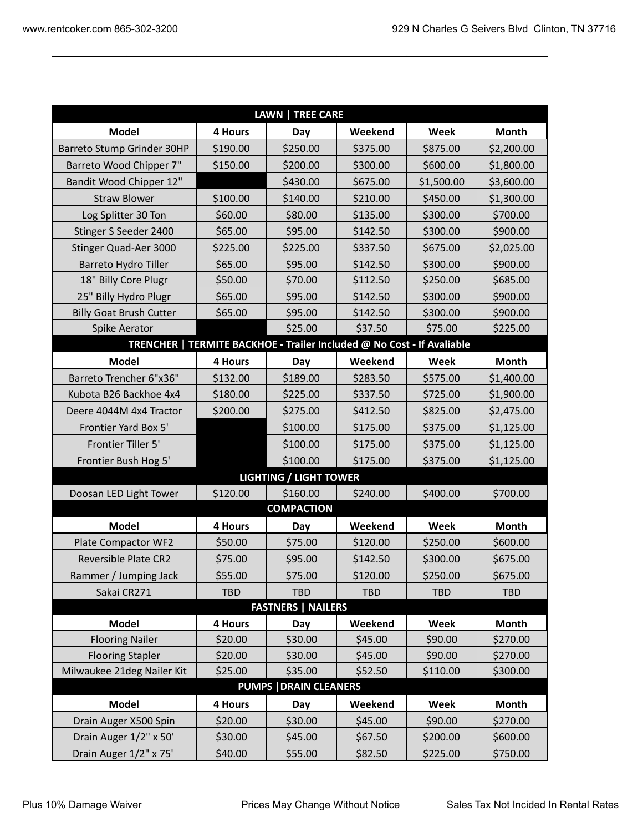| <b>LAWN   TREE CARE</b>        |            |                   |                                                                        |            |              |  |  |  |
|--------------------------------|------------|-------------------|------------------------------------------------------------------------|------------|--------------|--|--|--|
| <b>Model</b>                   | 4 Hours    | Day               | Weekend                                                                | Week       | Month        |  |  |  |
| Barreto Stump Grinder 30HP     | \$190.00   | \$250.00          | \$375.00                                                               | \$875.00   | \$2,200.00   |  |  |  |
| Barreto Wood Chipper 7"        | \$150.00   | \$200.00          | \$300.00                                                               | \$600.00   | \$1,800.00   |  |  |  |
| Bandit Wood Chipper 12"        |            | \$430.00          | \$675.00                                                               | \$1,500.00 | \$3,600.00   |  |  |  |
| <b>Straw Blower</b>            | \$100.00   | \$140.00          | \$210.00                                                               | \$450.00   | \$1,300.00   |  |  |  |
| Log Splitter 30 Ton            | \$60.00    | \$80.00           | \$135.00                                                               | \$300.00   | \$700.00     |  |  |  |
| Stinger S Seeder 2400          | \$65.00    | \$95.00           | \$142.50                                                               | \$300.00   | \$900.00     |  |  |  |
| Stinger Quad-Aer 3000          | \$225.00   | \$225.00          | \$337.50                                                               | \$675.00   | \$2,025.00   |  |  |  |
| Barreto Hydro Tiller           | \$65.00    | \$95.00           | \$142.50                                                               | \$300.00   | \$900.00     |  |  |  |
| 18" Billy Core Plugr           | \$50.00    | \$70.00           | \$112.50                                                               | \$250.00   | \$685.00     |  |  |  |
| 25" Billy Hydro Plugr          | \$65.00    | \$95.00           | \$142.50                                                               | \$300.00   | \$900.00     |  |  |  |
| <b>Billy Goat Brush Cutter</b> | \$65.00    | \$95.00           | \$142.50                                                               | \$300.00   | \$900.00     |  |  |  |
| Spike Aerator                  |            | \$25.00           | \$37.50                                                                | \$75.00    | \$225.00     |  |  |  |
|                                |            |                   | TRENCHER   TERMITE BACKHOE - Trailer Included @ No Cost - If Avaliable |            |              |  |  |  |
| <b>Model</b>                   | 4 Hours    | Day               | Weekend                                                                | Week       | <b>Month</b> |  |  |  |
| Barreto Trencher 6"x36"        | \$132.00   | \$189.00          | \$283.50                                                               | \$575.00   | \$1,400.00   |  |  |  |
| Kubota B26 Backhoe 4x4         | \$180.00   | \$225.00          | \$337.50                                                               | \$725.00   | \$1,900.00   |  |  |  |
| Deere 4044M 4x4 Tractor        | \$200.00   | \$275.00          | \$412.50                                                               | \$825.00   | \$2,475.00   |  |  |  |
| Frontier Yard Box 5'           |            | \$100.00          | \$175.00                                                               | \$375.00   | \$1,125.00   |  |  |  |
| Frontier Tiller 5'             |            | \$100.00          | \$175.00                                                               | \$375.00   | \$1,125.00   |  |  |  |
| Frontier Bush Hog 5'           |            | \$100.00          | \$175.00                                                               | \$375.00   | \$1,125.00   |  |  |  |
| <b>LIGHTING / LIGHT TOWER</b>  |            |                   |                                                                        |            |              |  |  |  |
| Doosan LED Light Tower         | \$120.00   | \$160.00          | \$240.00                                                               | \$400.00   | \$700.00     |  |  |  |
|                                |            | <b>COMPACTION</b> |                                                                        |            |              |  |  |  |
| <b>Model</b>                   | 4 Hours    | Day               | Weekend                                                                | Week       | <b>Month</b> |  |  |  |
| Plate Compactor WF2            | \$50.00    | \$75.00           | \$120.00                                                               | \$250.00   | \$600.00     |  |  |  |
| Reversible Plate CR2           | \$75.00    | \$95.00           | \$142.50                                                               | \$300.00   | \$675.00     |  |  |  |
| Rammer / Jumping Jack          | \$55.00    | \$75.00           | \$120.00                                                               | \$250.00   | \$675.00     |  |  |  |
| Sakai CR271                    | <b>TBD</b> | <b>TBD</b>        | <b>TBD</b>                                                             | <b>TBD</b> | <b>TBD</b>   |  |  |  |
| <b>FASTNERS   NAILERS</b>      |            |                   |                                                                        |            |              |  |  |  |
| <b>Model</b>                   | 4 Hours    | Day               | Weekend                                                                | Week       | <b>Month</b> |  |  |  |
| <b>Flooring Nailer</b>         | \$20.00    | \$30.00           | \$45.00                                                                | \$90.00    | \$270.00     |  |  |  |
| <b>Flooring Stapler</b>        | \$20.00    | \$30.00           | \$45.00                                                                | \$90.00    | \$270.00     |  |  |  |
| Milwaukee 21deg Nailer Kit     | \$25.00    | \$35.00           | \$52.50                                                                | \$110.00   | \$300.00     |  |  |  |
| <b>PUMPS   DRAIN CLEANERS</b>  |            |                   |                                                                        |            |              |  |  |  |
| <b>Model</b>                   | 4 Hours    | Day               | Weekend                                                                | Week       | <b>Month</b> |  |  |  |
| Drain Auger X500 Spin          | \$20.00    | \$30.00           | \$45.00                                                                | \$90.00    | \$270.00     |  |  |  |
| Drain Auger 1/2" x 50'         | \$30.00    | \$45.00           | \$67.50                                                                | \$200.00   | \$600.00     |  |  |  |
| Drain Auger 1/2" x 75'         | \$40.00    | \$55.00           | \$82.50                                                                | \$225.00   | \$750.00     |  |  |  |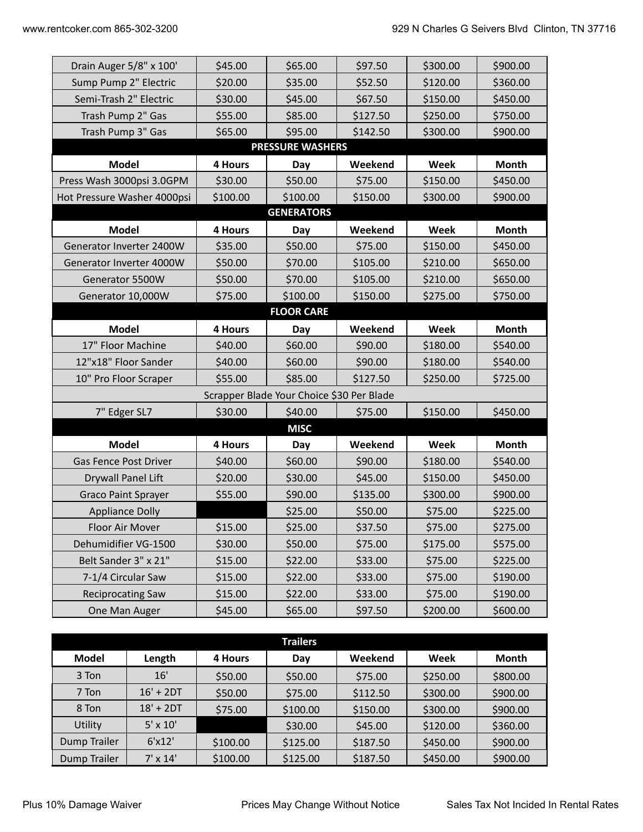| Drain Auger 5/8" x 100'                   | \$45.00     | \$65.00           | \$97.50  | \$300.00 | \$900.00     |  |  |  |  |
|-------------------------------------------|-------------|-------------------|----------|----------|--------------|--|--|--|--|
| Sump Pump 2" Electric                     | \$20.00     | \$35.00           | \$52.50  | \$120.00 | \$360.00     |  |  |  |  |
| Semi-Trash 2" Electric                    | \$30.00     | \$45.00           | \$67.50  | \$150.00 | \$450.00     |  |  |  |  |
| Trash Pump 2" Gas                         | \$55.00     | \$85.00           | \$127.50 | \$250.00 | \$750.00     |  |  |  |  |
| Trash Pump 3" Gas                         | \$65.00     | \$95.00           | \$142.50 | \$300.00 | \$900.00     |  |  |  |  |
| <b>PRESSURE WASHERS</b>                   |             |                   |          |          |              |  |  |  |  |
| <b>Model</b>                              | 4 Hours     | Day               | Weekend  | Week     | Month        |  |  |  |  |
| Press Wash 3000psi 3.0GPM                 | \$30.00     | \$50.00           | \$75.00  | \$150.00 | \$450.00     |  |  |  |  |
| Hot Pressure Washer 4000psi               | \$100.00    | \$100.00          | \$150.00 | \$300.00 | \$900.00     |  |  |  |  |
|                                           |             | <b>GENERATORS</b> |          |          |              |  |  |  |  |
| <b>Model</b>                              | 4 Hours     | Day               | Weekend  | Week     | Month        |  |  |  |  |
| Generator Inverter 2400W                  | \$35.00     | \$50.00           | \$75.00  | \$150.00 | \$450.00     |  |  |  |  |
| Generator Inverter 4000W                  | \$50.00     | \$70.00           | \$105.00 | \$210.00 | \$650.00     |  |  |  |  |
| Generator 5500W                           | \$50.00     | \$70.00           | \$105.00 | \$210.00 | \$650.00     |  |  |  |  |
| Generator 10,000W                         | \$75.00     | \$100.00          | \$150.00 | \$275.00 | \$750.00     |  |  |  |  |
|                                           |             | <b>FLOOR CARE</b> |          |          |              |  |  |  |  |
| <b>Model</b>                              | 4 Hours     | Day               | Weekend  | Week     | <b>Month</b> |  |  |  |  |
| 17" Floor Machine                         | \$40.00     | \$60.00           | \$90.00  | \$180.00 | \$540.00     |  |  |  |  |
| 12"x18" Floor Sander                      | \$40.00     | \$60.00           | \$90.00  | \$180.00 | \$540.00     |  |  |  |  |
| 10" Pro Floor Scraper                     | \$55.00     | \$85.00           | \$127.50 | \$250.00 | \$725.00     |  |  |  |  |
| Scrapper Blade Your Choice \$30 Per Blade |             |                   |          |          |              |  |  |  |  |
| 7" Edger SL7                              | \$30.00     | \$40.00           | \$75.00  | \$150.00 | \$450.00     |  |  |  |  |
|                                           | <b>MISC</b> |                   |          |          |              |  |  |  |  |
| <b>Model</b>                              | 4 Hours     | Day               | Weekend  | Week     | Month        |  |  |  |  |
| <b>Gas Fence Post Driver</b>              | \$40.00     | \$60.00           | \$90.00  | \$180.00 | \$540.00     |  |  |  |  |
| Drywall Panel Lift                        | \$20.00     | \$30.00           | \$45.00  | \$150.00 | \$450.00     |  |  |  |  |
| <b>Graco Paint Sprayer</b>                | \$55.00     | \$90.00           | \$135.00 | \$300.00 | \$900.00     |  |  |  |  |
| <b>Appliance Dolly</b>                    |             | \$25.00           | \$50.00  | \$75.00  | \$225.00     |  |  |  |  |
| Floor Air Mover                           | \$15.00     | \$25.00           | \$37.50  | \$75.00  | \$275.00     |  |  |  |  |
| Dehumidifier VG-1500                      | \$30.00     | \$50.00           | \$75.00  | \$175.00 | \$575.00     |  |  |  |  |
| Belt Sander 3" x 21"                      | \$15.00     | \$22.00           | \$33.00  | \$75.00  | \$225.00     |  |  |  |  |
| 7-1/4 Circular Saw                        | \$15.00     | \$22.00           | \$33.00  | \$75.00  | \$190.00     |  |  |  |  |
| <b>Reciprocating Saw</b>                  | \$15.00     | \$22.00           | \$33.00  | \$75.00  | \$190.00     |  |  |  |  |
| One Man Auger                             | \$45.00     | \$65.00           | \$97.50  | \$200.00 | \$600.00     |  |  |  |  |
|                                           |             |                   |          |          |              |  |  |  |  |

|              |                 |          | <b>Trailers</b> |          |          |              |
|--------------|-----------------|----------|-----------------|----------|----------|--------------|
| <b>Model</b> | Length          | 4 Hours  | Day             | Weekend  | Week     | <b>Month</b> |
| 3 Ton        | 16'             | \$50.00  | \$50.00         | \$75.00  | \$250.00 | \$800.00     |
| 7 Ton        | $16' + 2DT$     | \$50.00  | \$75.00         | \$112.50 | \$300.00 | \$900.00     |
| 8 Ton        | $18' + 2DT$     | \$75.00  | \$100.00        | \$150.00 | \$300.00 | \$900.00     |
| Utility      | $5' \times 10'$ |          | \$30.00         | \$45.00  | \$120.00 | \$360.00     |
| Dump Trailer | 6'x12'          | \$100.00 | \$125.00        | \$187.50 | \$450.00 | \$900.00     |
| Dump Trailer | $7' \times 14'$ | \$100.00 | \$125.00        | \$187.50 | \$450.00 | \$900.00     |